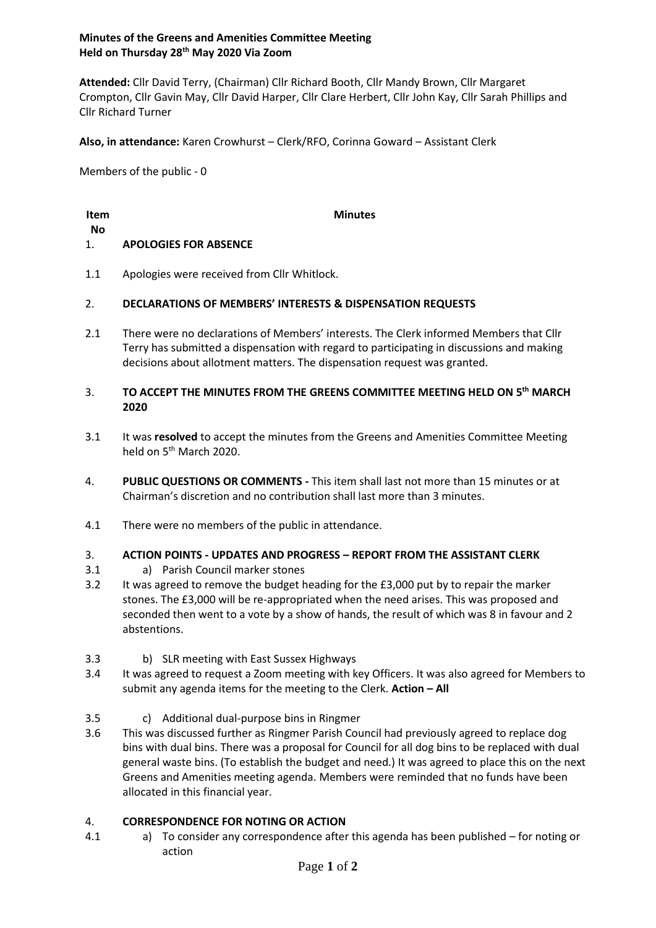# **Minutes of the Greens and Amenities Committee Meeting Held on Thursday 28th May 2020 Via Zoom**

**Attended:** Cllr David Terry, (Chairman) Cllr Richard Booth, Cllr Mandy Brown, Cllr Margaret Crompton, Cllr Gavin May, Cllr David Harper, Cllr Clare Herbert, Cllr John Kay, Cllr Sarah Phillips and Cllr Richard Turner

**Also, in attendance:** Karen Crowhurst – Clerk/RFO, Corinna Goward – Assistant Clerk

Members of the public - 0

## **Item**

**Minutes**

## **No**

#### 1. **APOLOGIES FOR ABSENCE**

1.1 Apologies were received from Cllr Whitlock.

#### 2. **DECLARATIONS OF MEMBERS' INTERESTS & DISPENSATION REQUESTS**

2.1 There were no declarations of Members' interests. The Clerk informed Members that Cllr Terry has submitted a dispensation with regard to participating in discussions and making decisions about allotment matters. The dispensation request was granted.

### 3. **TO ACCEPT THE MINUTES FROM THE GREENS COMMITTEE MEETING HELD ON 5 th MARCH 2020**

- 3.1 It was **resolved** to accept the minutes from the Greens and Amenities Committee Meeting held on 5<sup>th</sup> March 2020.
- 4. **PUBLIC QUESTIONS OR COMMENTS -** This item shall last not more than 15 minutes or at Chairman's discretion and no contribution shall last more than 3 minutes.
- 4.1 There were no members of the public in attendance.

#### 3. **ACTION POINTS - UPDATES AND PROGRESS – REPORT FROM THE ASSISTANT CLERK**

- 3.1 a) Parish Council marker stones
- 3.2 It was agreed to remove the budget heading for the £3,000 put by to repair the marker stones. The £3,000 will be re-appropriated when the need arises. This was proposed and seconded then went to a vote by a show of hands, the result of which was 8 in favour and 2 abstentions.
- 3.3 b) SLR meeting with East Sussex Highways
- 3.4 It was agreed to request a Zoom meeting with key Officers. It was also agreed for Members to submit any agenda items for the meeting to the Clerk. **Action – All**
- 3.5 c) Additional dual-purpose bins in Ringmer
- 3.6 This was discussed further as Ringmer Parish Council had previously agreed to replace dog bins with dual bins. There was a proposal for Council for all dog bins to be replaced with dual general waste bins. (To establish the budget and need.) It was agreed to place this on the next Greens and Amenities meeting agenda. Members were reminded that no funds have been allocated in this financial year.

#### 4. **CORRESPONDENCE FOR NOTING OR ACTION**

4.1 a) To consider any correspondence after this agenda has been published – for noting or action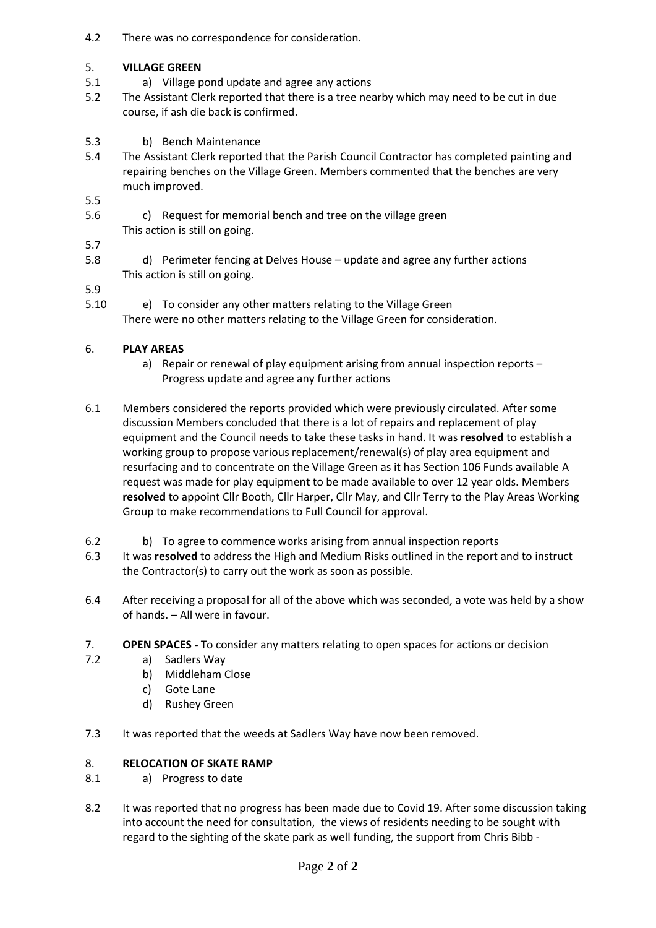4.2 There was no correspondence for consideration.

#### 5. **VILLAGE GREEN**

- 5.1 a) Village pond update and agree any actions
- 5.2 The Assistant Clerk reported that there is a tree nearby which may need to be cut in due course, if ash die back is confirmed.
- 5.3 b) Bench Maintenance
- 5.4 The Assistant Clerk reported that the Parish Council Contractor has completed painting and repairing benches on the Village Green. Members commented that the benches are very much improved.

5.5

- 5.6 c) Request for memorial bench and tree on the village green This action is still on going.
- 5.7
- 5.8 d) Perimeter fencing at Delves House – update and agree any further actions This action is still on going.

5.9

5.10 e) To consider any other matters relating to the Village Green There were no other matters relating to the Village Green for consideration.

#### 6. **PLAY AREAS**

- a) Repair or renewal of play equipment arising from annual inspection reports Progress update and agree any further actions
- 6.1 Members considered the reports provided which were previously circulated. After some discussion Members concluded that there is a lot of repairs and replacement of play equipment and the Council needs to take these tasks in hand. It was **resolved** to establish a working group to propose various replacement/renewal(s) of play area equipment and resurfacing and to concentrate on the Village Green as it has Section 106 Funds available A request was made for play equipment to be made available to over 12 year olds. Members **resolved** to appoint Cllr Booth, Cllr Harper, Cllr May, and Cllr Terry to the Play Areas Working Group to make recommendations to Full Council for approval.
- 6.2 b) To agree to commence works arising from annual inspection reports
- 6.3 It was **resolved** to address the High and Medium Risks outlined in the report and to instruct the Contractor(s) to carry out the work as soon as possible.
- 6.4 After receiving a proposal for all of the above which was seconded, a vote was held by a show of hands. – All were in favour.
- 7. **OPEN SPACES -** To consider any matters relating to open spaces for actions or decision
- 7.2 a) Sadlers Way
	- b) Middleham Close
	- c) Gote Lane
	- d) Rushey Green
- 7.3 It was reported that the weeds at Sadlers Way have now been removed.

#### 8. **RELOCATION OF SKATE RAMP**

- 8.1 a) Progress to date
- 8.2 It was reported that no progress has been made due to Covid 19. After some discussion taking into account the need for consultation, the views of residents needing to be sought with regard to the sighting of the skate park as well funding, the support from Chris Bibb -